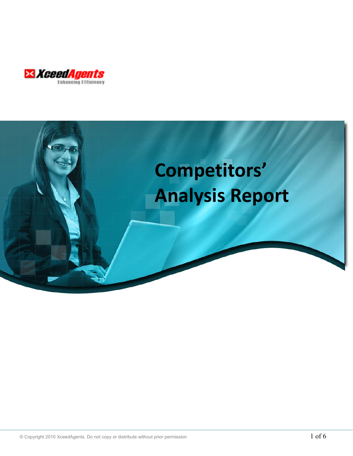

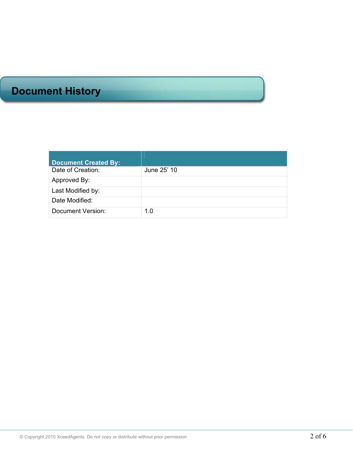# **Document History**

| <b>Document Created By:</b> |             |
|-----------------------------|-------------|
| Date of Creation:           | June 25' 10 |
| Approved By:                |             |
| Last Modified by:           |             |
| Date Modified:              |             |
| Document Version:           | 1.0         |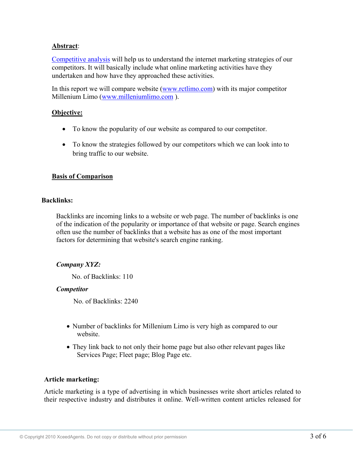## **Abstract**:

Competitive analysis will help us to understand the internet marketing strategies of our competitors. It will basically include what online marketing activities have they undertaken and how have they approached these activities.

In this report we will compare website (www.rctlimo.com) with its major competitor Millenium Limo (www.milleniumlimo.com ).

## **Objective:**

- To know the popularity of our website as compared to our competitor.
- To know the strategies followed by our competitors which we can look into to bring traffic to our website.

## **Basis of Comparison**

#### **Backlinks:**

Backlinks are incoming links to a website or web page. The number of backlinks is one of the indication of the popularity or importance of that website or page. Search engines often use the number of backlinks that a website has as one of the most important factors for determining that website's search engine ranking.

## *Company XYZ:*

No. of Backlinks: 110

## *Competitor*

No. of Backlinks: 2240

- Number of backlinks for Millenium Limo is very high as compared to our website.
- They link back to not only their home page but also other relevant pages like Services Page; Fleet page; Blog Page etc.

## **Article marketing:**

Article marketing is a type of advertising in which businesses write short articles related to their respective industry and distributes it online. Well-written content articles released for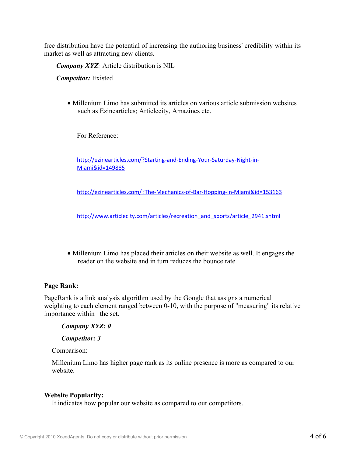free distribution have the potential of increasing the authoring business' credibility within its market as well as attracting new clients.

*Company XYZ:* Article distribution is NIL

*Competitor:* Existed

• Millenium Limo has submitted its articles on various article submission websites such as Ezinearticles; Articlecity, Amazines etc.

For Reference:

http://ezinearticles.com/?Starting‐and‐Ending‐Your‐Saturday‐Night‐in‐ Miami&id=149885

http://ezinearticles.com/?The‐Mechanics‐of‐Bar‐Hopping‐in‐Miami&id=153163

http://www.articlecity.com/articles/recreation\_and\_sports/article\_2941.shtml

• Millenium Limo has placed their articles on their website as well. It engages the reader on the website and in turn reduces the bounce rate.

## **Page Rank:**

PageRank is a link analysis algorithm used by the Google that assigns a numerical weighting to each element ranged between 0-10, with the purpose of "measuring" its relative importance within the set.

 *Company XYZ: 0* 

 *Competitor: 3* 

Comparison:

Millenium Limo has higher page rank as its online presence is more as compared to our website.

## **Website Popularity:**

It indicates how popular our website as compared to our competitors.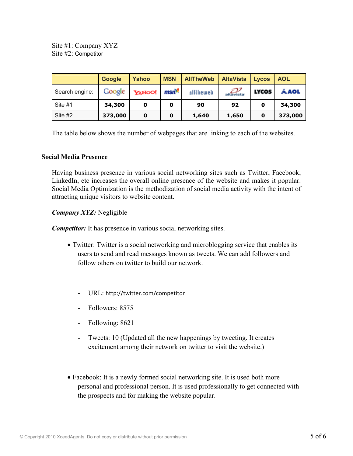Site #1: Company XYZ Site #2: Competitor

|                | <b>Google</b> | Yahoo  | <b>MSN</b>       | <b>AllTheWeb</b> | <b>AltaVista</b>               | <b>Lycos</b> | <b>AOL</b> |
|----------------|---------------|--------|------------------|------------------|--------------------------------|--------------|------------|
| Search engine: | Google        | YAHOO! | msn <sup>o</sup> | alltheweb        | $rac{1}{\sqrt{1-\frac{1}{c}}}$ | <b>LYCOS</b> | Á AOL      |
| Site #1        | 34,300        | 0      | 0                | 90               | 92                             | 0            | 34,300     |
| Site #2        | 373,000       | 0      | O                | 1,640            | 1,650                          | 0            | 373,000    |

The table below shows the number of webpages that are linking to each of the websites.

#### **Social Media Presence**

Having business presence in various social networking sites such as Twitter, Facebook, LinkedIn, etc increases the overall online presence of the website and makes it popular. Social Media Optimization is the methodization of social media activity with the intent of attracting unique visitors to website content.

#### *Company XYZ:* Negligible

*Competitor:* It has presence in various social networking sites.

- Twitter: Twitter is a social networking and microblogging service that enables its users to send and read messages known as tweets. We can add followers and follow others on twitter to build our network.
	- URL: http://twitter.com/competitor
	- Followers: 8575
	- Following: 8621
	- Tweets: 10 (Updated all the new happenings by tweeting. It creates excitement among their network on twitter to visit the website.)
- Facebook: It is a newly formed social networking site. It is used both more personal and professional person. It is used professionally to get connected with the prospects and for making the website popular.